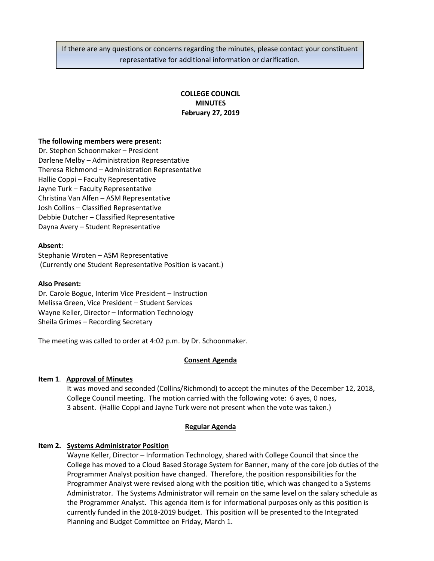If there are any questions or concerns regarding the minutes, please contact your constituent representative for additional information or clarification.

# **COLLEGE COUNCIL MINUTES February 27, 2019**

### **The following members were present:**

Dr. Stephen Schoonmaker – President Darlene Melby – Administration Representative Theresa Richmond – Administration Representative Hallie Coppi – Faculty Representative Jayne Turk – Faculty Representative Christina Van Alfen – ASM Representative Josh Collins – Classified Representative Debbie Dutcher – Classified Representative Dayna Avery – Student Representative

### **Absent:**

Stephanie Wroten – ASM Representative (Currently one Student Representative Position is vacant.)

### **Also Present:**

Dr. Carole Bogue, Interim Vice President – Instruction Melissa Green, Vice President – Student Services Wayne Keller, Director – Information Technology Sheila Grimes – Recording Secretary

The meeting was called to order at 4:02 p.m. by Dr. Schoonmaker.

### **Consent Agenda**

## **Item 1**. **Approval of Minutes**

It was moved and seconded (Collins/Richmond) to accept the minutes of the December 12, 2018, College Council meeting. The motion carried with the following vote: 6 ayes, 0 noes, 3 absent. (Hallie Coppi and Jayne Turk were not present when the vote was taken.)

### **Regular Agenda**

## **Item 2. Systems Administrator Position**

Wayne Keller, Director – Information Technology, shared with College Council that since the College has moved to a Cloud Based Storage System for Banner, many of the core job duties of the Programmer Analyst position have changed. Therefore, the position responsibilities for the Programmer Analyst were revised along with the position title, which was changed to a Systems Administrator. The Systems Administrator will remain on the same level on the salary schedule as the Programmer Analyst. This agenda item is for informational purposes only as this position is currently funded in the 2018-2019 budget. This position will be presented to the Integrated Planning and Budget Committee on Friday, March 1.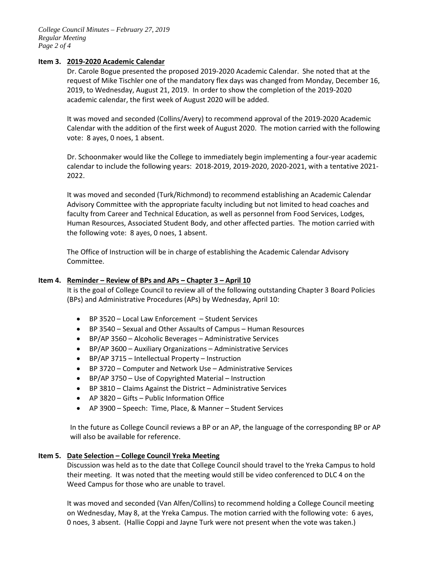*College Council Minutes – February 27, 2019 Regular Meeting Page 2 of 4*

### **Item 3. 2019-2020 Academic Calendar**

Dr. Carole Bogue presented the proposed 2019-2020 Academic Calendar. She noted that at the request of Mike Tischler one of the mandatory flex days was changed from Monday, December 16, 2019, to Wednesday, August 21, 2019. In order to show the completion of the 2019-2020 academic calendar, the first week of August 2020 will be added.

It was moved and seconded (Collins/Avery) to recommend approval of the 2019-2020 Academic Calendar with the addition of the first week of August 2020. The motion carried with the following vote: 8 ayes, 0 noes, 1 absent.

Dr. Schoonmaker would like the College to immediately begin implementing a four-year academic calendar to include the following years: 2018-2019, 2019-2020, 2020-2021, with a tentative 2021- 2022.

It was moved and seconded (Turk/Richmond) to recommend establishing an Academic Calendar Advisory Committee with the appropriate faculty including but not limited to head coaches and faculty from Career and Technical Education, as well as personnel from Food Services, Lodges, Human Resources, Associated Student Body, and other affected parties. The motion carried with the following vote: 8 ayes, 0 noes, 1 absent.

The Office of Instruction will be in charge of establishing the Academic Calendar Advisory Committee.

### **Item 4. Reminder – Review of BPs and APs – Chapter 3 – April 10**

It is the goal of College Council to review all of the following outstanding Chapter 3 Board Policies (BPs) and Administrative Procedures (APs) by Wednesday, April 10:

- BP 3520 Local Law Enforcement Student Services
- BP 3540 Sexual and Other Assaults of Campus Human Resources
- BP/AP 3560 Alcoholic Beverages Administrative Services
- BP/AP 3600 Auxiliary Organizations Administrative Services
- BP/AP 3715 Intellectual Property Instruction
- BP 3720 Computer and Network Use Administrative Services
- BP/AP 3750 Use of Copyrighted Material Instruction
- BP 3810 Claims Against the District Administrative Services
- AP 3820 Gifts Public Information Office
- AP 3900 Speech: Time, Place, & Manner Student Services

In the future as College Council reviews a BP or an AP, the language of the corresponding BP or AP will also be available for reference.

### **Item 5. Date Selection – College Council Yreka Meeting**

Discussion was held as to the date that College Council should travel to the Yreka Campus to hold their meeting. It was noted that the meeting would still be video conferenced to DLC 4 on the Weed Campus for those who are unable to travel.

It was moved and seconded (Van Alfen/Collins) to recommend holding a College Council meeting on Wednesday, May 8, at the Yreka Campus. The motion carried with the following vote: 6 ayes, 0 noes, 3 absent. (Hallie Coppi and Jayne Turk were not present when the vote was taken.)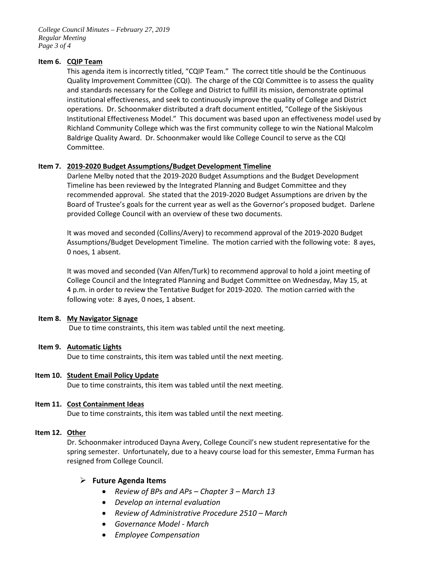*College Council Minutes – February 27, 2019 Regular Meeting Page 3 of 4*

### **Item 6. CQIP Team**

This agenda item is incorrectly titled, "CQIP Team." The correct title should be the Continuous Quality Improvement Committee (CQI). The charge of the CQI Committee is to assess the quality and standards necessary for the College and District to fulfill its mission, demonstrate optimal institutional effectiveness, and seek to continuously improve the quality of College and District operations. Dr. Schoonmaker distributed a draft document entitled, "College of the Siskiyous Institutional Effectiveness Model." This document was based upon an effectiveness model used by Richland Community College which was the first community college to win the National Malcolm Baldrige Quality Award. Dr. Schoonmaker would like College Council to serve as the CQI Committee.

## **Item 7. 2019-2020 Budget Assumptions/Budget Development Timeline**

Darlene Melby noted that the 2019-2020 Budget Assumptions and the Budget Development Timeline has been reviewed by the Integrated Planning and Budget Committee and they recommended approval. She stated that the 2019-2020 Budget Assumptions are driven by the Board of Trustee's goals for the current year as well as the Governor's proposed budget. Darlene provided College Council with an overview of these two documents.

It was moved and seconded (Collins/Avery) to recommend approval of the 2019-2020 Budget Assumptions/Budget Development Timeline. The motion carried with the following vote: 8 ayes, 0 noes, 1 absent.

It was moved and seconded (Van Alfen/Turk) to recommend approval to hold a joint meeting of College Council and the Integrated Planning and Budget Committee on Wednesday, May 15, at 4 p.m. in order to review the Tentative Budget for 2019-2020. The motion carried with the following vote: 8 ayes, 0 noes, 1 absent.

## **Item 8. My Navigator Signage**

Due to time constraints, this item was tabled until the next meeting.

### **Item 9. Automatic Lights**

Due to time constraints, this item was tabled until the next meeting.

### **Item 10. Student Email Policy Update**

Due to time constraints, this item was tabled until the next meeting.

### **Item 11. Cost Containment Ideas**

Due to time constraints, this item was tabled until the next meeting.

### **Item 12. Other**

Dr. Schoonmaker introduced Dayna Avery, College Council's new student representative for the spring semester. Unfortunately, due to a heavy course load for this semester, Emma Furman has resigned from College Council.

## **Future Agenda Items**

- *Review of BPs and APs – Chapter 3 – March 13*
- *Develop an internal evaluation*
- *Review of Administrative Procedure 2510 – March*
- *Governance Model - March*
- *Employee Compensation*